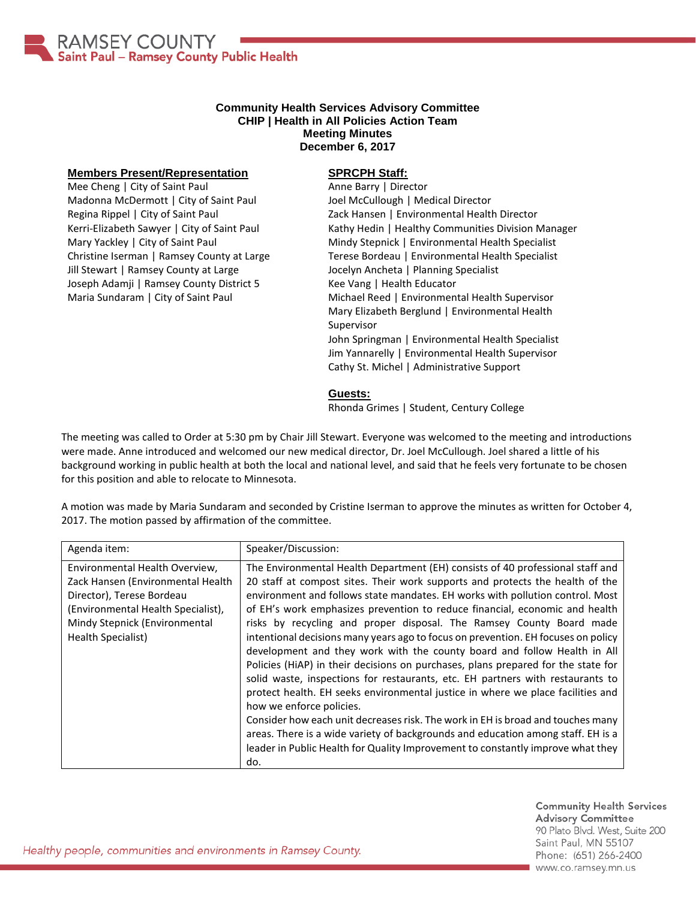

## **Community Health Services Advisory Committee CHIP | Health in All Policies Action Team Meeting Minutes December 6, 2017**

## **Members Present/Representation**

Mee Cheng | City of Saint Paul Madonna McDermott | City of Saint Paul Regina Rippel | City of Saint Paul Kerri-Elizabeth Sawyer | City of Saint Paul Mary Yackley | City of Saint Paul Christine Iserman | Ramsey County at Large Jill Stewart | Ramsey County at Large Joseph Adamji | Ramsey County District 5 Maria Sundaram | City of Saint Paul

## **SPRCPH Staff:**

Anne Barry | Director Joel McCullough | Medical Director Zack Hansen | Environmental Health Director Kathy Hedin | Healthy Communities Division Manager Mindy Stepnick | Environmental Health Specialist Terese Bordeau | Environmental Health Specialist Jocelyn Ancheta | Planning Specialist Kee Vang | Health Educator Michael Reed | Environmental Health Supervisor Mary Elizabeth Berglund | Environmental Health Supervisor John Springman | Environmental Health Specialist Jim Yannarelly | Environmental Health Supervisor Cathy St. Michel | Administrative Support

**Guests:**

Rhonda Grimes | Student, Century College

The meeting was called to Order at 5:30 pm by Chair Jill Stewart. Everyone was welcomed to the meeting and introductions were made. Anne introduced and welcomed our new medical director, Dr. Joel McCullough. Joel shared a little of his background working in public health at both the local and national level, and said that he feels very fortunate to be chosen for this position and able to relocate to Minnesota.

A motion was made by Maria Sundaram and seconded by Cristine Iserman to approve the minutes as written for October 4, 2017. The motion passed by affirmation of the committee.

| Agenda item:                                                                                                                                                                                  | Speaker/Discussion:                                                                                                                                                                                                                                                                                                                                                                                                                                                                                                                                                                                                                                                                                                                                                                                                                                                                                                                                                                                                                                                                                                             |
|-----------------------------------------------------------------------------------------------------------------------------------------------------------------------------------------------|---------------------------------------------------------------------------------------------------------------------------------------------------------------------------------------------------------------------------------------------------------------------------------------------------------------------------------------------------------------------------------------------------------------------------------------------------------------------------------------------------------------------------------------------------------------------------------------------------------------------------------------------------------------------------------------------------------------------------------------------------------------------------------------------------------------------------------------------------------------------------------------------------------------------------------------------------------------------------------------------------------------------------------------------------------------------------------------------------------------------------------|
| Environmental Health Overview,<br>Zack Hansen (Environmental Health<br>Director), Terese Bordeau<br>(Environmental Health Specialist),<br>Mindy Stepnick (Environmental<br>Health Specialist) | The Environmental Health Department (EH) consists of 40 professional staff and<br>20 staff at compost sites. Their work supports and protects the health of the<br>environment and follows state mandates. EH works with pollution control. Most<br>of EH's work emphasizes prevention to reduce financial, economic and health<br>risks by recycling and proper disposal. The Ramsey County Board made<br>intentional decisions many years ago to focus on prevention. EH focuses on policy<br>development and they work with the county board and follow Health in All<br>Policies (HiAP) in their decisions on purchases, plans prepared for the state for<br>solid waste, inspections for restaurants, etc. EH partners with restaurants to<br>protect health. EH seeks environmental justice in where we place facilities and<br>how we enforce policies.<br>Consider how each unit decreases risk. The work in EH is broad and touches many<br>areas. There is a wide variety of backgrounds and education among staff. EH is a<br>leader in Public Health for Quality Improvement to constantly improve what they<br>do. |

**Community Health Services Advisory Committee** 90 Plato Blvd. West, Suite 200 Saint Paul, MN 55107 Phone: (651) 266-2400 www.co.ramsey.mn.us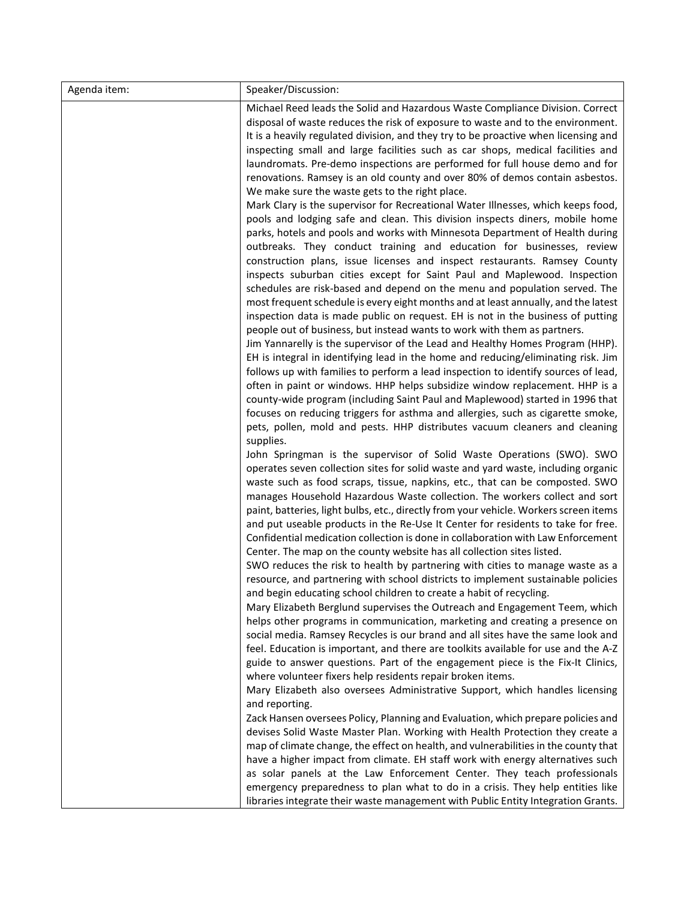| Agenda item: | Speaker/Discussion:                                                                                                                                                                                                                                                                                                                                                                                                                                                                                                                                                                                                                                                                                                                                                                                                                                                                                                                                                                                                                                                                                                                                                                                                                                                                                                                                                                                                                                                                                                                                         |
|--------------|-------------------------------------------------------------------------------------------------------------------------------------------------------------------------------------------------------------------------------------------------------------------------------------------------------------------------------------------------------------------------------------------------------------------------------------------------------------------------------------------------------------------------------------------------------------------------------------------------------------------------------------------------------------------------------------------------------------------------------------------------------------------------------------------------------------------------------------------------------------------------------------------------------------------------------------------------------------------------------------------------------------------------------------------------------------------------------------------------------------------------------------------------------------------------------------------------------------------------------------------------------------------------------------------------------------------------------------------------------------------------------------------------------------------------------------------------------------------------------------------------------------------------------------------------------------|
|              | Michael Reed leads the Solid and Hazardous Waste Compliance Division. Correct<br>disposal of waste reduces the risk of exposure to waste and to the environment.<br>It is a heavily regulated division, and they try to be proactive when licensing and<br>inspecting small and large facilities such as car shops, medical facilities and<br>laundromats. Pre-demo inspections are performed for full house demo and for<br>renovations. Ramsey is an old county and over 80% of demos contain asbestos.<br>We make sure the waste gets to the right place.<br>Mark Clary is the supervisor for Recreational Water Illnesses, which keeps food,<br>pools and lodging safe and clean. This division inspects diners, mobile home<br>parks, hotels and pools and works with Minnesota Department of Health during<br>outbreaks. They conduct training and education for businesses, review<br>construction plans, issue licenses and inspect restaurants. Ramsey County<br>inspects suburban cities except for Saint Paul and Maplewood. Inspection<br>schedules are risk-based and depend on the menu and population served. The<br>most frequent schedule is every eight months and at least annually, and the latest<br>inspection data is made public on request. EH is not in the business of putting<br>people out of business, but instead wants to work with them as partners.<br>Jim Yannarelly is the supervisor of the Lead and Healthy Homes Program (HHP).<br>EH is integral in identifying lead in the home and reducing/eliminating risk. Jim |
|              | follows up with families to perform a lead inspection to identify sources of lead,<br>often in paint or windows. HHP helps subsidize window replacement. HHP is a<br>county-wide program (including Saint Paul and Maplewood) started in 1996 that<br>focuses on reducing triggers for asthma and allergies, such as cigarette smoke,<br>pets, pollen, mold and pests. HHP distributes vacuum cleaners and cleaning<br>supplies.<br>John Springman is the supervisor of Solid Waste Operations (SWO). SWO<br>operates seven collection sites for solid waste and yard waste, including organic<br>waste such as food scraps, tissue, napkins, etc., that can be composted. SWO<br>manages Household Hazardous Waste collection. The workers collect and sort<br>paint, batteries, light bulbs, etc., directly from your vehicle. Workers screen items<br>and put useable products in the Re-Use It Center for residents to take for free.<br>Confidential medication collection is done in collaboration with Law Enforcement                                                                                                                                                                                                                                                                                                                                                                                                                                                                                                                               |
|              | Center. The map on the county website has all collection sites listed.<br>SWO reduces the risk to health by partnering with cities to manage waste as a<br>resource, and partnering with school districts to implement sustainable policies<br>and begin educating school children to create a habit of recycling.<br>Mary Elizabeth Berglund supervises the Outreach and Engagement Teem, which<br>helps other programs in communication, marketing and creating a presence on<br>social media. Ramsey Recycles is our brand and all sites have the same look and<br>feel. Education is important, and there are toolkits available for use and the A-Z<br>guide to answer questions. Part of the engagement piece is the Fix-It Clinics,<br>where volunteer fixers help residents repair broken items.<br>Mary Elizabeth also oversees Administrative Support, which handles licensing<br>and reporting.                                                                                                                                                                                                                                                                                                                                                                                                                                                                                                                                                                                                                                                  |
|              | Zack Hansen oversees Policy, Planning and Evaluation, which prepare policies and<br>devises Solid Waste Master Plan. Working with Health Protection they create a<br>map of climate change, the effect on health, and vulnerabilities in the county that<br>have a higher impact from climate. EH staff work with energy alternatives such<br>as solar panels at the Law Enforcement Center. They teach professionals<br>emergency preparedness to plan what to do in a crisis. They help entities like<br>libraries integrate their waste management with Public Entity Integration Grants.                                                                                                                                                                                                                                                                                                                                                                                                                                                                                                                                                                                                                                                                                                                                                                                                                                                                                                                                                                |